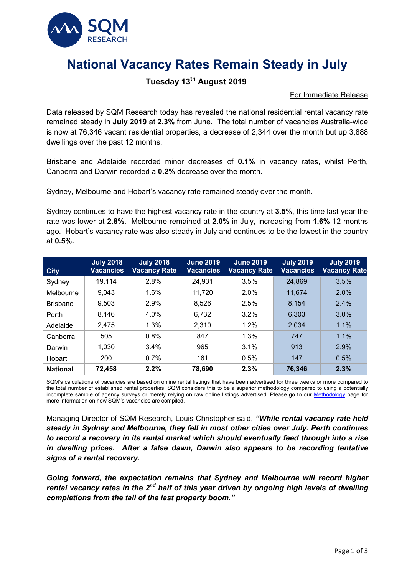

# **National Vacancy Rates Remain Steady in July**

## **Tuesday 13th August 2019**

#### For Immediate Release

Data released by SQM Research today has revealed the national residential rental vacancy rate remained steady in **July 2019** at **2.3%** from June. The total number of vacancies Australia-wide is now at 76,346 vacant residential properties, a decrease of 2,344 over the month but up 3,888 dwellings over the past 12 months.

Brisbane and Adelaide recorded minor decreases of **0.1%** in vacancy rates, whilst Perth, Canberra and Darwin recorded a **0.2%** decrease over the month.

Sydney, Melbourne and Hobart's vacancy rate remained steady over the month.

Sydney continues to have the highest vacancy rate in the country at **3.5**%, this time last year the rate was lower at **2.8%**.Melbourne remained at **2.0%** in July, increasing from **1.6%** 12 months ago. Hobart's vacancy rate was also steady in July and continues to be the lowest in the country at **0.5%.**

| <b>City</b>     | <b>July 2018</b><br><b>Vacancies</b> | <b>July 2018</b><br><b>Vacancy Rate</b> | <b>June 2019</b><br><b>Vacancies</b> | <b>June 2019</b><br><b>Vacancy Rate</b> | <b>July 2019</b><br><b>Vacancies</b> | <b>July 2019</b><br><b>Vacancy Rate</b> |
|-----------------|--------------------------------------|-----------------------------------------|--------------------------------------|-----------------------------------------|--------------------------------------|-----------------------------------------|
| Sydney          | 19,114                               | 2.8%                                    | 24,931                               | 3.5%                                    | 24,869                               | 3.5%                                    |
| Melbourne       | 9,043                                | 1.6%                                    | 11,720                               | 2.0%                                    | 11,674                               | 2.0%                                    |
| <b>Brisbane</b> | 9,503                                | 2.9%                                    | 8,526                                | 2.5%                                    | 8,154                                | 2.4%                                    |
| Perth           | 8,146                                | 4.0%                                    | 6,732                                | 3.2%                                    | 6,303                                | 3.0%                                    |
| Adelaide        | 2,475                                | 1.3%                                    | 2,310                                | 1.2%                                    | 2,034                                | 1.1%                                    |
| Canberra        | 505                                  | 0.8%                                    | 847                                  | 1.3%                                    | 747                                  | 1.1%                                    |
| Darwin          | 1,030                                | 3.4%                                    | 965                                  | 3.1%                                    | 913                                  | 2.9%                                    |
| Hobart          | 200                                  | 0.7%                                    | 161                                  | 0.5%                                    | 147                                  | 0.5%                                    |
| <b>National</b> | 72,458                               | 2.2%                                    | 78,690                               | 2.3%                                    | 76,346                               | 2.3%                                    |

SQM's calculations of vacancies are based on online rental listings that have been advertised for three weeks or more compared to the total number of established rental properties. SQM considers this to be a superior methodology compared to using a potentially incomplete sample of agency surveys or merely relying on raw online listings advertised. Please go to our [Methodology](https://sqmresearch.com.au/graph_vacancy.php?region=nsw::Sydney&type=c&t=1#terms) page for more information on how SQM's vacancies are compiled.

Managing Director of SQM Research, Louis Christopher said, *"While rental vacancy rate held steady in Sydney and Melbourne, they fell in most other cities over July. Perth continues to record a recovery in its rental market which should eventually feed through into a rise in dwelling prices. After a false dawn, Darwin also appears to be recording tentative signs of a rental recovery.* 

*Going forward, the expectation remains that Sydney and Melbourne will record higher rental vacancy rates in the 2nd half of this year driven by ongoing high levels of dwelling completions from the tail of the last property boom."*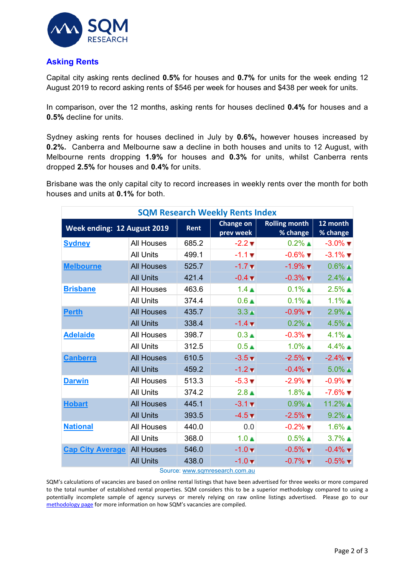

#### **Asking Rents**

Capital city asking rents declined **0.5%** for houses and **0.7%** for units for the week ending 12 August 2019 to record asking rents of \$546 per week for houses and \$438 per week for units.

In comparison, over the 12 months, asking rents for houses declined **0.4%** for houses and a **0.5%** decline for units.

Sydney asking rents for houses declined in July by **0.6%,** however houses increased by **0.2%.** Canberra and Melbourne saw a decline in both houses and units to 12 August, with Melbourne rents dropping **1.9%** for houses and **0.3%** for units, whilst Canberra rents dropped **2.5%** for houses and **0.4%** for units.

Brisbane was the only capital city to record increases in weekly rents over the month for both houses and units at **0.1%** for both.

| <b>SQM Research Weekly Rents Index</b> |                   |                               |                                  |                               |                               |  |  |  |  |
|----------------------------------------|-------------------|-------------------------------|----------------------------------|-------------------------------|-------------------------------|--|--|--|--|
| Week ending: 12 August 2019            | Rent              | <b>Change on</b><br>prev week | <b>Rolling month</b><br>% change | 12 month<br>% change          |                               |  |  |  |  |
| <b>Sydney</b>                          | <b>All Houses</b> | 685.2                         | $-2.2$ $\blacktriangledown$      | $0.2\%$ $\triangle$           | $-3.0\%$ $\blacktriangledown$ |  |  |  |  |
|                                        | <b>All Units</b>  | 499.1                         | $-1.1 +$                         | $-0.6\%$ $\blacksquare$       | $-3.1\%$ $\blacksquare$       |  |  |  |  |
| <b>Melbourne</b>                       | <b>All Houses</b> | 525.7                         | $-1.7$ $\times$                  | $-1.9\%$ $\blacksquare$       | $0.6\%$ $\blacksquare$        |  |  |  |  |
|                                        | <b>All Units</b>  | 421.4                         | $-0.4 \, \text{V}$               | $-0.3\%$ $\blacksquare$       | $2.4\%$ ▲                     |  |  |  |  |
| <b>Brisbane</b>                        | <b>All Houses</b> | 463.6                         | $1.4 \triangle$                  | $0.1\%$ $\triangle$           | $2.5\%$ $\triangle$           |  |  |  |  |
|                                        | <b>All Units</b>  | 374.4                         | 0.6 <sub>A</sub>                 | $0.1\%$ $\triangle$           | $1.1\%$ $\triangle$           |  |  |  |  |
| <b>Perth</b>                           | <b>All Houses</b> | 435.7                         | 3.3 <sub>th</sub>                | $-0.9\%$ $\blacksquare$       | $2.9\%$ $\blacksquare$        |  |  |  |  |
|                                        | <b>All Units</b>  | 338.4                         | $-1.4$ $\triangledown$           | $0.2\%$ $\blacktriangle$      | $4.5\%$ $\blacktriangle$      |  |  |  |  |
| <b>Adelaide</b>                        | <b>All Houses</b> | 398.7                         | $0.3 \triangle$                  | $-0.3\%$ $\blacktriangledown$ | $4.1\%$ $\triangle$           |  |  |  |  |
|                                        | <b>All Units</b>  | 312.5                         | 0.5 <sub>A</sub>                 | $1.0\%$ $\triangle$           | $4.4\%$ $\triangle$           |  |  |  |  |
| <b>Canberra</b>                        | <b>All Houses</b> | 610.5                         | $-3.5 \times$                    | $-2.5\%$ $\blacksquare$       | $-2.4\%$ $\blacktriangledown$ |  |  |  |  |
|                                        | <b>All Units</b>  | 459.2                         | $-1.2$ $\blacktriangledown$      | $-0.4\%$ $\blacksquare$       | $5.0\%$ $\blacktriangle$      |  |  |  |  |
| <b>Darwin</b>                          | <b>All Houses</b> | 513.3                         | $-5.3 \blacktriangledown$        | $-2.9\%$ $\blacktriangledown$ | $-0.9\%$ $\blacktriangledown$ |  |  |  |  |
|                                        | <b>All Units</b>  | 374.2                         | $2.8$ ▲                          | $1.8\%$ $\triangle$           | $-7.6\%$ $\blacksquare$       |  |  |  |  |
| <b>Hobart</b>                          | <b>All Houses</b> | 445.1                         | $-3.1 \times$                    | $0.9\%$ $\blacksquare$        | $11.2\%$ $\triangle$          |  |  |  |  |
|                                        | <b>All Units</b>  | 393.5                         | $-4.5$ $\blacktriangledown$      | $-2.5\%$ $\blacktriangledown$ | $9.2\%$ $\blacktriangle$      |  |  |  |  |
| <b>National</b>                        | <b>All Houses</b> | 440.0                         | 0.0                              | $-0.2\%$ $\blacksquare$       | $1.6\%$ $\triangle$           |  |  |  |  |
|                                        | <b>All Units</b>  | 368.0                         | 1.0 <sub>A</sub>                 | $0.5\%$ $\triangle$           | $3.7\%$ $\triangle$           |  |  |  |  |
| <b>Cap City Average</b>                | <b>All Houses</b> | 546.0                         | $-1.0 \times$                    | $-0.5\%$ $\blacksquare$       | $-0.4\%$ $\blacksquare$       |  |  |  |  |
|                                        | <b>All Units</b>  | 438.0                         | $-1.0$ $\times$                  | $-0.7\%$ $\blacksquare$       | $-0.5\%$ $\blacktriangledown$ |  |  |  |  |

#### Source: [www.sqmresearch.com.au](http://www.sqmresearch.com.au/)

SQM's calculations of vacancies are based on online rental listings that have been advertised for three weeks or more compared to the total number of established rental properties. SQM considers this to be a superior methodology compared to using a potentially incomplete sample of agency surveys or merely relying on raw online listings advertised. Please go to our [methodology page](https://sqmresearch.com.au/pdfs/methodologydocumentrentsindex.pdf) for more information on how SQM's vacancies are compiled.